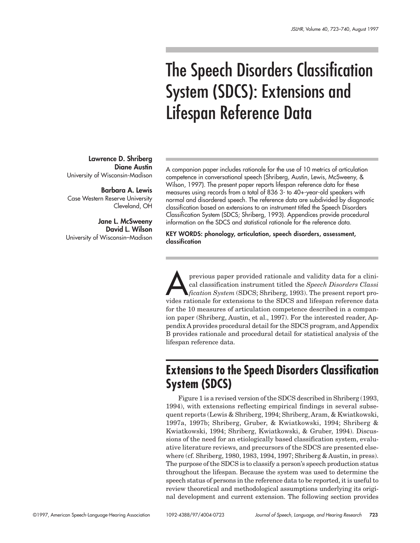# The Speech Disorders Classification System (SDCS): Extensions and Lifespan Reference Data

**Lawrence D. Shriberg Diane Austin** University of Wisconsin-Madison

**Barbara A. Lewis** Case Western Reserve University Cleveland, OH

**Jane L. McSweeny David L. Wilson** University of Wisconsin–Madison A companion paper includes rationale for the use of 10 metrics of articulation competence in conversational speech (Shriberg, Austin, Lewis, McSweeny, & Wilson, 1997). The present paper reports lifespan reference data for these measures using records from a total of 836 3- to 40+-year-old speakers with normal and disordered speech. The reference data are subdivided by diagnostic classification based on extensions to an instrument titled the Speech Disorders Classification System (SDCS; Shriberg, 1993). Appendices provide procedural information on the SDCS and statistical rationale for the reference data.

**KEY WORDS: phonology, articulation, speech disorders, assessment, classification**

previous paper provided rationale and validity data for a clinical classification instrument titled the Speech Disorders Classification System (SDCS; Shriberg, 1993). The present report provides rationale for extensions to cal classification instrument titled the *Speech Disorders Classi fication System* (SDCS; Shriberg, 1993). The present report provides rationale for extensions to the SDCS and lifespan reference data for the 10 measures of articulation competence described in a companion paper (Shriberg, Austin, et al., 1997). For the interested reader, Appendix A provides procedural detail for the SDCS program, and Appendix B provides rationale and procedural detail for statistical analysis of the lifespan reference data.

# **Extensions to the Speech Disorders Classification System (SDCS)**

Figure 1 is a revised version of the SDCS described in Shriberg (1993, 1994), with extensions reflecting empirical findings in several subsequent reports (Lewis & Shriberg, 1994; Shriberg, Aram, & Kwiatkowski, 1997a, 1997b; Shriberg, Gruber, & Kwiatkowski, 1994; Shriberg & Kwiatkowski, 1994; Shriberg, Kwiatkowski, & Gruber, 1994). Discussions of the need for an etiologically based classification system, evaluative literature reviews, and precursors of the SDCS are presented elsewhere (cf. Shriberg, 1980, 1983, 1994, 1997; Shriberg & Austin, in press). The purpose of the SDCS is to classify a person's speech production status throughout the lifespan. Because the system was used to determine the speech status of persons in the reference data to be reported, it is useful to review theoretical and methodological assumptions underlying its original development and current extension. The following section provides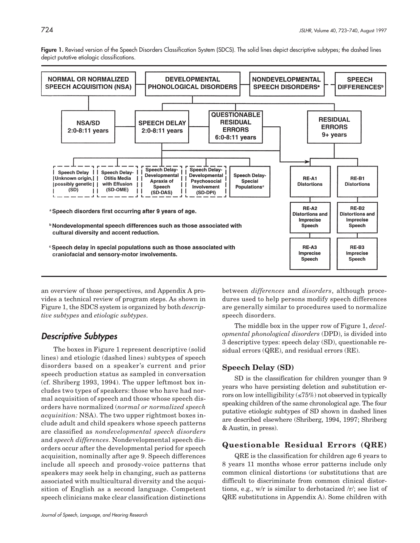

Figure 1. Revised version of the Speech Disorders Classification System (SDCS). The solid lines depict descriptive subtypes; the dashed lines depict putative etiologic classifications.

an overview of those perspectives, and Appendix A provides a technical review of program steps. As shown in Figure 1, the SDCS system is organized by both *descriptive subtypes* and *etiologic subtypes*.

# **Descriptive Subtypes**

The boxes in Figure 1 represent descriptive (solid lines) and etiologic (dashed lines) subtypes of speech disorders based on a speaker's current and prior speech production status as sampled in conversation (cf. Shriberg 1993, 1994). The upper leftmost box includes two types of speakers: those who have had normal acquisition of speech and those whose speech disorders have normalized (*normal or normalized speech acquisition:* NSA). The two upper rightmost boxes include adult and child speakers whose speech patterns are classified as *nondevelopmental speech disorders* and *speech differences*. Nondevelopmental speech disorders occur after the developmental period for speech acquisition, nominally after age 9. Speech differences include all speech and prosody-voice patterns that speakers may seek help in changing, such as patterns associated with multicultural diversity and the acquisition of English as a second language. Competent speech clinicians make clear classification distinctions

Journal of Speech, Language, and Hearing Research

between *differences* and *disorders*, although procedures used to help persons modify speech differences are generally similar to procedures used to normalize speech disorders.

The middle box in the upper row of Figure 1, *developmental phonological disorders* (DPD), is divided into 3 descriptive types: speech delay (SD), questionable residual errors (QRE), and residual errors (RE).

#### **Speech Delay (SD)**

SD is the classification for children younger than 9 years who have persisting deletion and substitution errors on low intelligibility  $(\leq 75\%)$  not observed in typically speaking children of the same chronological age. The four putative etiologic subtypes of SD shown in dashed lines are described elsewhere (Shriberg, 1994, 1997; Shriberg & Austin, in press).

#### **Questionable Residual Errors (QRE)**

QRE is the classification for children age 6 years to 8 years 11 months whose error patterns include only common clinical distortions (or substitutions that are difficult to discriminate from common clinical distortions, e.g., w/r is similar to derhotacized /r/; see list of QRE substitutions in Appendix A). Some children with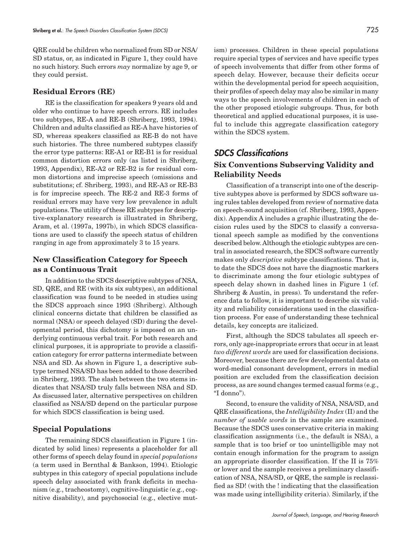QRE could be children who normalized from SD or NSA/ SD status, or, as indicated in Figure 1, they could have no such history. Such errors *may* normalize by age 9, or they could persist.

#### **Residual Errors (RE)**

RE is the classification for speakers 9 years old and older who continue to have speech errors. RE includes two subtypes, RE-A and RE-B (Shriberg, 1993, 1994). Children and adults classified as RE-A have histories of SD, whereas speakers classified as RE-B do not have such histories. The three numbered subtypes classify the error type patterns: RE-A1 or RE-B1 is for residual common distortion errors only (as listed in Shriberg, 1993, Appendix), RE-A2 or RE-B2 is for residual common distortions and imprecise speech (omissions and substitutions; cf. Shriberg, 1993), and RE-A3 or RE-B3 is for imprecise speech. The RE-2 and RE-3 forms of residual errors may have very low prevalence in adult populations. The utility of these RE subtypes for descriptive-explanatory research is illustrated in Shriberg, Aram, et al. (1997a, 1997b), in which SDCS classifications are used to classify the speech status of children ranging in age from approximately 3 to 15 years.

## **New Classification Category for Speech as a Continuous Trait**

In addition to the SDCS descriptive subtypes of NSA, SD, QRE, and RE (with its six subtypes), an additional classification was found to be needed in studies using the SDCS approach since 1993 (Shriberg). Although clinical concerns dictate that children be classified as normal (NSA) or speech delayed (SD) during the developmental period, this dichotomy is imposed on an underlying continuous verbal trait. For both research and clinical purposes, it is appropriate to provide a classification category for error patterns intermediate between NSA and SD. As shown in Figure 1, a descriptive subtype termed NSA/SD has been added to those described in Shriberg, 1993. The slash between the two stems indicates that NSA/SD truly falls between NSA and SD. As discussed later, alternative perspectives on children classified as NSA/SD depend on the particular purpose for which SDCS classification is being used.

#### **Special Populations**

The remaining SDCS classification in Figure 1 (indicated by solid lines) represents a placeholder for all other forms of speech delay found in *special populations* (a term used in Bernthal & Bankson, 1994). Etiologic subtypes in this category of special populations include speech delay associated with frank deficits in mechanism (e.g., tracheostomy), cognitive-linguistic (e.g., cognitive disability), and psychosocial (e.g., elective mutism) processes. Children in these special populations require special types of services and have specific types of speech involvements that differ from other forms of speech delay. However, because their deficits occur within the developmental period for speech acquisition, their profiles of speech delay may also be similar in many ways to the speech involvements of children in each of the other proposed etiologic subgroups. Thus, for both theoretical and applied educational purposes, it is useful to include this aggregate classification category within the SDCS system.

# **SDCS Classifications Six Conventions Subserving Validity and Reliability Needs**

Classification of a transcript into one of the descriptive subtypes above is performed by SDCS software using rules tables developed from review of normative data on speech-sound acquisition (cf. Shriberg, 1993, Appendix). Appendix A includes a graphic illustrating the decision rules used by the SDCS to classify a conversational speech sample as modified by the conventions described below. Although the etiologic subtypes are central in associated research, the SDCS software currently makes only *descriptive* subtype classifications. That is, to date the SDCS does not have the diagnostic markers to discriminate among the four etiologic subtypes of speech delay shown in dashed lines in Figure 1 (cf. Shriberg & Austin, in press). To understand the reference data to follow, it is important to describe six validity and reliability considerations used in the classification process. For ease of understanding these technical details, key concepts are italicized.

First, although the SDCS tabulates all speech errors, only age-inappropriate errors that occur in at least *two different words* are used for classification decisions. Moreover, because there are few developmental data on word-medial consonant development, errors in medial position are excluded from the classification decision process, as are sound changes termed casual forms (e.g., "I donno").

Second, to ensure the validity of NSA, NSA/SD, and QRE classifications, the *Intelligibility Index* (II) and the *number of usable words* in the sample are examined. Because the SDCS uses conservative criteria in making classification assignments (i.e., the default is NSA), a sample that is too brief or too unintelligible may not contain enough information for the program to assign an appropriate disorder classification. If the II is 75% or lower and the sample receives a preliminary classification of NSA, NSA/SD, or QRE, the sample is reclassified as SD! (with the ! indicating that the classification was made using intelligibility criteria). Similarly, if the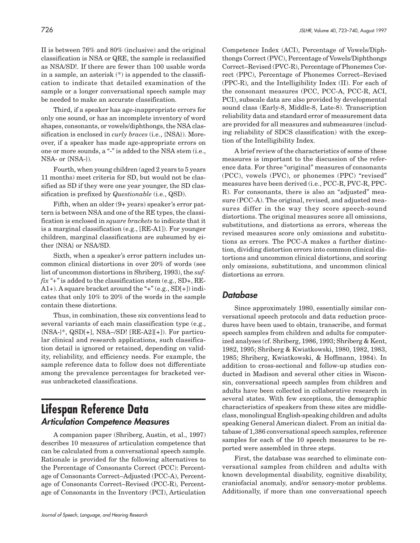II is between 76% and 80% (inclusive) and the original classification is NSA or QRE, the sample is reclassified as NSA/SD!. If there are fewer than 100 usable words in a sample, an asterisk (\*) is appended to the classification to indicate that detailed examination of the sample or a longer conversational speech sample may be needed to make an accurate classification.

Third, if a speaker has age-inappropriate errors for only one sound, or has an incomplete inventory of word shapes, consonants, or vowels/diphthongs, the NSA classification is enclosed in *curly braces* (i.e., {NSA}). Moreover, if a speaker has made age-appropriate errors on one or more sounds, a "-" is added to the NSA stem (i.e., NSA- or {NSA-}).

Fourth, when young children (aged 2 years to 5 years 11 months) meet criteria for SD, but would not be classified as SD if they were one year younger, the SD classification is prefixed by *Questionable* (i.e., QSD).

Fifth, when an older (9+ years) speaker's error pattern is between NSA and one of the RE types, the classification is enclosed in *square brackets* to indicate that it is a marginal classification (e.g., [RE-A1]). For younger children, marginal classifications are subsumed by either {NSA} or NSA/SD.

Sixth, when a speaker's error pattern includes uncommon clinical distortions in over 20% of words (see list of uncommon distortions in Shriberg, 1993), the *suffix "+"* is added to the classification stem (e.g., SD+, RE-A1+). A square bracket around the "+"  $(e.g., SD[+]$  indicates that only 10% to 20% of the words in the sample contain these distortions.

Thus, in combination, these six conventions lead to several variants of each main classification type (e.g., {NSA-}\*, QSD[+], NSA–/SD! [RE-A2][+]). For particular clinical and research applications, such classification detail is ignored or retained, depending on validity, reliability, and efficiency needs. For example, the sample reference data to follow does not differentiate among the prevalence percentages for bracketed versus unbracketed classifications.

# **Lifespan Reference Data Articulation Competence Measures**

A companion paper (Shriberg, Austin, et al., 1997) describes 10 measures of articulation competence that can be calculated from a conversational speech sample. Rationale is provided for the following alternatives to the Percentage of Consonants Correct (PCC): Percentage of Consonants Correct–Adjusted (PCC-A), Percentage of Consonants Correct–Revised (PCC-R), Percentage of Consonants in the Inventory (PCI), Articulation

Competence Index (ACI), Percentage of Vowels/Diphthongs Correct (PVC), Percentage of Vowels/Diphthongs Correct–Revised (PVC-R), Percentage of Phonemes Correct (PPC), Percentage of Phonemes Correct–Revised (PPC-R), and the Intelligibility Index (II). For each of the consonant measures (PCC, PCC-A, PCC-R, ACI, PCI), subscale data are also provided by developmental sound class (Early-8, Middle-8, Late-8). Transcription reliability data and standard error of measurement data are provided for all measures and submeasures (including reliability of SDCS classification) with the exception of the Intelligibility Index.

A brief review of the characteristics of some of these measures is important to the discussion of the reference data. For three "original" measures of consonants (PCC), vowels (PVC), or phonemes (PPC) "revised" measures have been derived (i.e., PCC-R, PVC-R, PPC-R). For consonants, there is also an "adjusted" measure (PCC-A). The original, revised, and adjusted measures differ in the way they score speech-sound distortions. The original measures score all omissions, substitutions, and distortions as errors, whereas the revised measures score only omissions and substitutions as errors. The PCC-A makes a further distinction, dividing distortion errors into common clinical distortions and uncommon clinical distortions, and scoring only omissions, substitutions, and uncommon clinical distortions as errors.

# **Database**

Since approximately 1980, essentially similar conversational speech protocols and data reduction procedures have been used to obtain, transcribe, and format speech samples from children and adults for computerized analyses (cf. Shriberg, 1986, 1993; Shriberg & Kent, 1982, 1995; Shriberg & Kwiatkowski, 1980, 1982, 1983, 1985; Shriberg, Kwiatkowski, & Hoffmann, 1984). In addition to cross-sectional and follow-up studies conducted in Madison and several other cities in Wisconsin, conversational speech samples from children and adults have been collected in collaborative research in several states. With few exceptions, the demographic characteristics of speakers from these sites are middleclass, monolingual English-speaking children and adults speaking General American dialect. From an initial database of 1,386 conversational speech samples, reference samples for each of the 10 speech measures to be reported were assembled in three steps.

First, the database was searched to eliminate conversational samples from children and adults with known developmental disability, cognitive disability, craniofacial anomaly, and/or sensory-motor problems. Additionally, if more than one conversational speech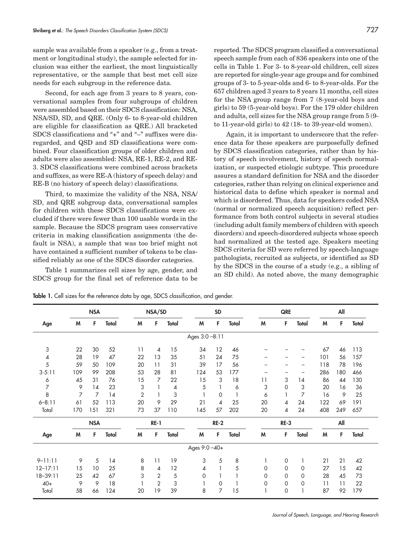sample was available from a speaker (e.g., from a treatment or longitudinal study), the sample selected for inclusion was either the earliest, the most linguistically representative, or the sample that best met cell size needs for each subgroup in the reference data.

Second, for each age from 3 years to 8 years, conversational samples from four subgroups of children were assembled based on their SDCS classification: NSA, NSA/SD, SD, and QRE. (Only 6- to 8-year-old children are eligible for classification as QRE.) All bracketed SDCS classifications and "+" and "–" suffixes were disregarded, and QSD and SD classifications were combined. Four classification groups of older children and adults were also assembled: NSA, RE-1, RE-2, and RE-3. SDCS classifications were combined across brackets and suffixes, as were RE-A (history of speech delay) and RE-B (no history of speech delay) classifications.

Third, to maximize the validity of the NSA, NSA/ SD, and QRE subgroup data, conversational samples for children with these SDCS classifications were excluded if there were fewer than 100 usable words in the sample. Because the SDCS program uses conservative criteria in making classification assignments (the default is NSA), a sample that was too brief might not have contained a sufficient number of tokens to be classified reliably as one of the SDCS disorder categories.

Table 1 summarizes cell sizes by age, gender, and SDCS group for the final set of reference data to be reported. The SDCS program classified a conversational speech sample from each of 836 speakers into one of the cells in Table 1. For 3- to 8-year-old children, cell sizes are reported for single-year age groups and for combined groups of 3- to 5-year-olds and 6- to 8-year-olds. For the 657 children aged 3 years to 8 years 11 months, cell sizes for the NSA group range from 7 (8-year-old boys and girls) to 59 (5-year-old boys). For the 179 older children and adults, cell sizes for the NSA group range from 5 (9 to 11-year-old girls) to 42 (18- to 39-year-old women).

Again, it is important to underscore that the reference data for these speakers are purposefully defined by SDCS classification categories, rather than by history of speech involvement, history of speech normalization, or suspected etiologic subtype. This procedure assures a standard definition for NSA and the disorder categories, rather than relying on clinical experience and historical data to define which speaker is normal and which is disordered. Thus, data for speakers coded NSA (normal or normalized speech acquisition) reflect performance from both control subjects in several studies (including adult family members of children with speech disorders) and speech-disordered subjects whose speech had normalized at the tested age. Speakers meeting SDCS criteria for SD were referred by speech-language pathologists, recruited as subjects, or identified as SD by the SDCS in the course of a study (e.g., a sibling of an SD child). As noted above, the many demographic

|              |                | <b>NSA</b>     |       |                | NSA/SD         |       |               | <b>SD</b>      |       |    | QRE            |       |     | All |       |
|--------------|----------------|----------------|-------|----------------|----------------|-------|---------------|----------------|-------|----|----------------|-------|-----|-----|-------|
| Age          | M              | F              | Total | M              | F              | Total | M             | F              | Total | M  | F              | Total | M   | F   | Total |
|              |                |                |       |                |                |       | Ages 3:0-8:11 |                |       |    |                |       |     |     |       |
| 3            | 22             | 30             | 52    | 11             | 4              | 15    | 34            | 12             | 46    |    |                |       | 67  | 46  | 113   |
| 4            | 28             | 19             | 47    | 22             | 13             | 35    | 51            | 24             | 75    |    | -              | -     | 101 | 56  | 157   |
| 5            | 59             | 50             | 109   | 20             | 11             | 31    | 39            | 17             | 56    |    | —              | -     | 118 | 78  | 196   |
| $3 - 5:11$   | 109            | 99             | 208   | 53             | 28             | 81    | 124           | 53             | 177   |    |                | -     | 286 | 180 | 466   |
| 6            | 45             | 31             | 76    | 15             | 7              | 22    | 15            | 3              | 18    | 11 | 3              | 14    | 86  | 44  | 130   |
| 7            | 9              | 14             | 23    | 3              |                | 4     | 5             | 1              | 6     | 3  | $\mathbf 0$    | 3     | 20  | 16  | 36    |
| 8            | $\overline{7}$ | $\overline{7}$ | 14    | $\overline{2}$ |                | 3     |               | $\mathbf 0$    |       | 6  | $\mathbf{1}$   | 7     | 16  | 9   | 25    |
| $6 - 8:11$   | 61             | 52             | 113   | 20             | 9              | 29    | 21            | $\overline{4}$ | 25    | 20 | 4              | 24    | 122 | 69  | 191   |
| Total        | 170            | 151            | 321   | 73             | 37             | 110   | 145           | 57             | 202   | 20 | $\overline{4}$ | 24    | 408 | 249 | 657   |
|              |                | <b>NSA</b>     |       |                | $RE-1$         |       |               | $RE-2$         |       |    | $RE-3$         |       |     | All |       |
| Age          | M              | F              | Total | M              | F              | Total | M             | F.             | Total | M  | F              | Total | M   | F   | Total |
|              |                |                |       |                |                |       | Ages 9:0-40+  |                |       |    |                |       |     |     |       |
| $9 - 11:11$  | 9              | 5              | 14    | 8              | 11             | 19    | 3             | 5              | 8     |    | $\mathbf 0$    |       | 21  | 21  | 42    |
| $12 - 17:11$ | 15             | 10             | 25    | 8              | 4              | 12    | 4             |                | 5     | 0  | $\mathbf 0$    | 0     | 27  | 15  | 42    |
| 18-39:11     | 25             | 42             | 67    | 3              | $\overline{2}$ | 5     | 0             |                |       | 0  | $\mathbf 0$    | 0     | 28  | 45  | 73    |
| $40+$        | 9              | 9              | 18    |                | $\overline{2}$ | 3     |               | $\mathbf 0$    |       | 0  | $\mathbf 0$    | 0     | 11  | 11  | 22    |
| Total        | 58             | 66             | 124   | 20             | 19             | 39    | 8             | 7              | 15    |    | 0              |       | 87  | 92  | 179   |

**Table 1.** Cell sizes for the reference data by age, SDCS classification, and gender.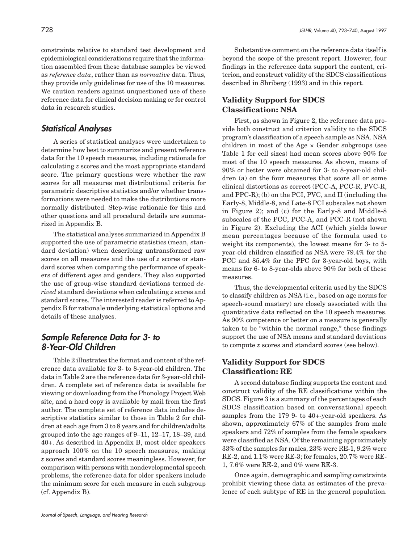constraints relative to standard test development and epidemiological considerations require that the information assembled from these database samples be viewed as *reference data*, rather than as *normative* data. Thus, they provide only guidelines for use of the 10 measures. We caution readers against unquestioned use of these reference data for clinical decision making or for control data in research studies.

# **Statistical Analyses**

A series of statistical analyses were undertaken to determine how best to summarize and present reference data for the 10 speech measures, including rationale for calculating *z* scores and the most appropriate standard score. The primary questions were whether the raw scores for all measures met distributional criteria for parametric descriptive statistics and/or whether transformations were needed to make the distributions more normally distributed. Step-wise rationale for this and other questions and all procedural details are summarized in Appendix B.

The statistical analyses summarized in Appendix B supported the use of parametric statistics (mean, standard deviation) when describing untransformed raw scores on all measures and the use of *z* scores or standard scores when comparing the performance of speakers of different ages and genders. They also supported the use of group-wise standard deviations termed *derived* standard deviations when calculating *z* scores and standard scores. The interested reader is referred to Appendix B for rationale underlying statistical options and details of these analyses.

# **Sample Reference Data for 3- to 8-Year-Old Children**

Table 2 illustrates the format and content of the reference data available for 3- to 8-year-old children. The data in Table 2 are the reference data for 3-year-old children. A complete set of reference data is available for viewing or downloading from the Phonology Project Web site, and a hard copy is available by mail from the first author. The complete set of reference data includes descriptive statistics similar to those in Table 2 for children at each age from 3 to 8 years and for children/adults grouped into the age ranges of 9–11, 12–17, 18–39, and 40+. As described in Appendix B, most older speakers approach 100% on the 10 speech measures, making *z* scores and standard scores meaningless. However, for comparison with persons with nondevelopmental speech problems, the reference data for older speakers include the minimum score for each measure in each subgroup (cf. Appendix B).

Substantive comment on the reference data itself is beyond the scope of the present report. However, four findings in the reference data support the content, criterion, and construct validity of the SDCS classifications described in Shriberg (1993) and in this report.

# **Validity Support for SDCS Classification: NSA**

First, as shown in Figure 2, the reference data provide both construct and criterion validity to the SDCS program's classification of a speech sample as NSA. NSA children in most of the Age  $\times$  Gender subgroups (see Table 1 for cell sizes) had mean scores above 90% for most of the 10 speech measures. As shown, means of 90% or better were obtained for 3- to 8-year-old children (a) on the four measures that score all or some clinical distortions as correct (PCC-A, PCC-R, PVC-R, and PPC-R); (b) on the PCI, PVC, and II (including the Early-8, Middle-8, and Late-8 PCI subscales not shown in Figure 2); and (c) for the Early-8 and Middle-8 subscales of the PCC, PCC-A, and PCC-R (not shown in Figure 2). Excluding the ACI (which yields lower mean percentages because of the formula used to weight its components), the lowest means for 3- to 5 year-old children classified as NSA were 79.4% for the PCC and 85.4% for the PPC for 3-year-old boys, with means for 6- to 8-year-olds above 90% for both of these measures.

Thus, the developmental criteria used by the SDCS to classify children as NSA (i.e., based on age norms for speech-sound mastery) are closely associated with the quantitative data reflected on the 10 speech measures. As 90% competence or better on a measure is generally taken to be "within the normal range," these findings support the use of NSA means and standard deviations to compute *z* scores and standard scores (see below).

# **Validity Support for SDCS Classification: RE**

A second database finding supports the content and construct validity of the RE classifications within the SDCS. Figure 3 is a summary of the percentages of each SDCS classification based on conversational speech samples from the 179 9- to 40+-year-old speakers. As shown, approximately 67% of the samples from male speakers and 72% of samples from the female speakers were classified as NSA. Of the remaining approximately 33% of the samples for males, 23% were RE-1, 9.2% were RE-2, and 1.1% were RE-3; for females, 20.7% were RE-1, 7.6% were RE-2, and 0% were RE-3.

Once again, demographic and sampling constraints prohibit viewing these data as estimates of the prevalence of each subtype of RE in the general population.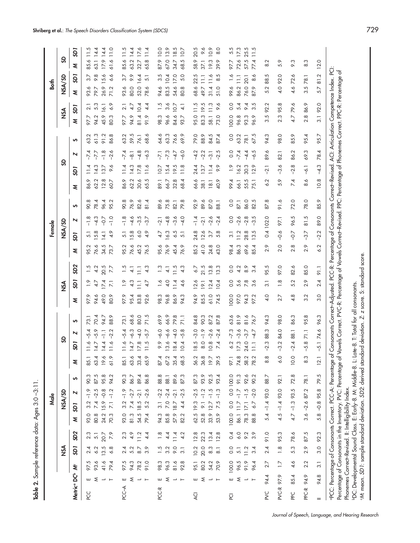|                                                    |                              |                   |                                                                                                                                                                                                                                                                                                             |                 |                     | Male                      |                      |               |                 |             |      |       |                  |                                             |                      | Female           |          |      |                          |                         |        |                      |                                                                                                                                                                                                                                                  | a<br>a         |                  |                           |        |
|----------------------------------------------------|------------------------------|-------------------|-------------------------------------------------------------------------------------------------------------------------------------------------------------------------------------------------------------------------------------------------------------------------------------------------------------|-----------------|---------------------|---------------------------|----------------------|---------------|-----------------|-------------|------|-------|------------------|---------------------------------------------|----------------------|------------------|----------|------|--------------------------|-------------------------|--------|----------------------|--------------------------------------------------------------------------------------------------------------------------------------------------------------------------------------------------------------------------------------------------|----------------|------------------|---------------------------|--------|
|                                                    |                              |                   | $rac{5}{2}$                                                                                                                                                                                                                                                                                                 |                 |                     | NSA/SD                    |                      |               |                 | င္တ         |      |       | <b>SA</b>        |                                             |                      | NSA/SD           |          |      |                          | င္တ                     |        |                      | $rac{5}{2}$                                                                                                                                                                                                                                      | NSA/SD         |                  | င္တ                       |        |
| Metric <sup>o</sup> DC <sup>b</sup> M <sup>e</sup> |                              |                   | SD <sub>1</sub>                                                                                                                                                                                                                                                                                             | SD <sub>2</sub> | <b>IGS</b><br>Σ     | N                         | ဖ                    | Σ             | SD <sub>1</sub> | N           | ဖ    | ≅     | SD <sub>1</sub>  | SD <sub>2</sub>                             | Σ                    | SD <sub>1</sub>  | N        | ဖ    | ₹                        | SD <sub>1</sub>         | N      | ဖ                    | <b>Las</b><br>ξ                                                                                                                                                                                                                                  | ξ              | SD <sub>1</sub>  | SD <sub>1</sub><br>Σ      |        |
| PCC                                                | ш                            | 97.5              | 2.4                                                                                                                                                                                                                                                                                                         | 2.3             | 93.0                | $-1.9$<br>3.2             | 90.3                 | 85.1          | 11.6            | $-5.4$      | 73.1 | 97.9  |                  | $\ddot{5}$                                  | $\sim$<br>95.        | $\overline{5}$   | $-1.8$   | 90.8 | ó<br>86.                 | 11.4                    | $-7.4$ | $\sim$<br>$\ddot{3}$ | $\overline{2}$ .<br>97.7                                                                                                                                                                                                                         | ∿<br>63.       | 3.7              | 85.6                      | 11.5   |
|                                                    | ₹                            | 93.6              | 6.2                                                                                                                                                                                                                                                                                                         | $\overline{5}$  | 80.8                | $-2.5$<br>7.4             | 87.5                 | 63.4          | 14.7            | $-5.9$      | 70.4 | 94.6  | 47               | 4.2                                         | 76.6                 | 15.8             | $-4.3$   | 78.4 | $\mathbf{\Omega}$<br>62. | 14.3                    | $-7.7$ | 61.3                 | 5.3<br>94.2                                                                                                                                                                                                                                      | 79.7           | 8.6              | 14.4<br>63.1              |        |
|                                                    |                              | 41.6              | 13.5                                                                                                                                                                                                                                                                                                        | 20.7            | 24.2                | $15.9 - 0.8$              | 95.8                 | 19.6          | 14.4            | 두           | 94.7 | 49.0  | 17.4             | 20.5                                        | 34.5                 | 14.1             | $-0.7$   | 96.4 | 12.8                     | 13.7                    | $-1.8$ | 91.2                 | 16.1<br>45.9                                                                                                                                                                                                                                     | 26.9           | 15.6             | 17.9                      | 14.4   |
|                                                    | $\vdash$                     | 79.4              | 6.8                                                                                                                                                                                                                                                                                                         | 7.9             | 70.3                | $-1.2$<br>$\overline{z}$  | 94.2                 | 61.9          | 11.6            | $-2.2$      | 88.9 | 80.9  | $\overline{z}$   | 7.7                                         | 73.7                 | 4.9              | $-1.0$   | 95.2 | 60.7                     | 9.6                     | $-2.6$ | 86.8                 | 6.9<br>80.3                                                                                                                                                                                                                                      | 71.2           | 6.6              | 61.6                      | 11.0   |
| PCC-A                                              |                              | 97.5              | 2.4                                                                                                                                                                                                                                                                                                         |                 | 93.0                |                           | 90.3                 | 85.1          | 11.6            | $-5.4$      | 73.1 | 97.9  | $\frac{8}{1}$    | $\ddot{5}$                                  | 95.2                 | 5.1              | $-1.8$   | 90.8 | 86.9                     | 11.4                    | $-7.4$ | 63.2                 | $\overline{2}$ .<br>97.7                                                                                                                                                                                                                         | 93.6           | 3.7              | 11.5<br>85.6              |        |
|                                                    | ш ≲                          | 94.3              | 5.2                                                                                                                                                                                                                                                                                                         | $2.3$<br>4.9    | 81.3                | $3.2 - 1.9$<br>7.4 $-2.7$ | 86.7                 | 63.6          | 14.7            | $-6.3$      | 68.6 | 95.4  | 4.3              | $\overline{4}$                              | 76.6                 | 15.8             | $-4.6$   | 76.9 | 62.2                     | 14.3                    | $-8.1$ | 59.5                 | 4.7<br>94.9                                                                                                                                                                                                                                      | 80.0           | 9.9              | 14.4<br>63.2              |        |
|                                                    | $\overline{\phantom{a}}$     | 78.2              | $8.7$                                                                                                                                                                                                                                                                                                       | 11.2            | 54.5                | $18.5 - 2.1$              | 89.4                 | 33.4          | 17.8            | $-4.0$      | 80.0 | 83.8  | 11.1             | 11.1                                        | 45.2                 | 6.0              | $-3.5$   | 82.6 | 30.6                     | 17.8                    | $-4.8$ | 76.1                 | 10.4<br>81.4                                                                                                                                                                                                                                     | 52.0           | 16.4             | 17.6<br>32.7              |        |
|                                                    | $\vdash$                     | 91.0              | $\frac{8}{3}$                                                                                                                                                                                                                                                                                               | 4.4             | 79.4                | $-2.6$<br>5.2             | 86.8                 | 65.9          | 11.5            | $-5.7$      | 71.5 | 92.6  | 4.7              | 4.3                                         | 76.5                 | 4.9              | $-3.7$   | 81.4 | 65.5                     | 11.6                    | $-6.3$ | 68.6                 | 4.4<br>91.9                                                                                                                                                                                                                                      | 78.6           | $\overline{5}$ . | 65.8                      | 11.4   |
| PCC-R                                              |                              | 98.3              | $\ddot{1}$ .5                                                                                                                                                                                                                                                                                               | $\frac{8}{1}$   | 94.3                | $-2.2$<br>$\overline{3}$  | 88.8                 | 87.4          | 9.9             | $-6.0$      | 69.9 | 98.3  | $\sim$           | $\frac{3}{2}$                               | 95.6                 | 4.7              | $-2.1$   | 89.6 | 89.1                     | 10.7                    | $-7.1$ | 64.6                 | 1.5<br>98.3                                                                                                                                                                                                                                      | 94.6           | $3.\overline{5}$ | 10.0<br>87.9              |        |
|                                                    | $\; \sqcup \; \; \leq$       | 96.3              | 3.2                                                                                                                                                                                                                                                                                                         | 4.4             | 85.8                | $-2.4$<br>7.0             | 88.1                 | 67.2          | 3.6             | $-6.6$      | 66.9 | 96.8  | 4.0              | $\overline{4}$ .                            | 76.9                 | 16.3             | $-4.8$   | 75.8 | 66.7                     | 15.4                    | $-7.3$ | 63.3                 | 3.6<br>96.6                                                                                                                                                                                                                                      | 83.5           | 10.4             | $\overline{13}$ .<br>67.0 | $\sim$ |
|                                                    | $- +$                        | $81.6$<br>92.8    | 9.0                                                                                                                                                                                                                                                                                                         | 11.4            | 57.9                | $-2.1$<br>18.7            | 89.6                 | 35.4          | 18.4            | $-4.0$      | 79.8 | 86.9  | 11.4             | 11.5                                        | 45.4                 | 6.5              | $-3.6$   | 82.1 | 32.8                     | 19.5                    | $-4.7$ | 76.6                 | 10.7<br>84.6                                                                                                                                                                                                                                     | 54.6           | 17.0             | $\overline{18}$<br>34.7   | 5      |
|                                                    |                              |                   | $\overline{3}$                                                                                                                                                                                                                                                                                              | 4.2             | 82.2                | $-2.5$<br>4.4             | 87.3                 | 68.5          | 10.4            | $-5.8$      | 71.1 | 94.3  | 4.6              | 4.3                                         | 76.9                 | $\overline{5}$ . | $-4.0$   | 79.8 | 68.4                     | 11.8                    | $-6.0$ | 69.9                 | $\overline{4}$<br>93.7                                                                                                                                                                                                                           | $\infty$<br>80 | 5.0              | 10.7<br>68.5              |        |
| QV                                                 |                              | 95.1              | 10.2                                                                                                                                                                                                                                                                                                        | 12.8            | 62.5 19.3           | $-2.5$                    | 87.3                 | 56.2          | 18.5            | $-3.0$      | 84.8 | 94.9  | 12.6             | 6.7                                         | 85.2                 | 24.8             | $-1.4$   | 92.9 | 66.6                     | 24.4                    | $-4.2$ | 79.0                 | 11.5<br>95.0                                                                                                                                                                                                                                     | 68.6           | 22.5             | 58.9                      | 20.5   |
|                                                    | $\blacksquare$<br>$\lesssim$ | 80.2              | 20.0                                                                                                                                                                                                                                                                                                        | 22.3            | 52.8                | $9.1 - 1.2$               | 93.9                 | 36.8          | 8.0             | $-1.9$      | 90.3 | 85.5  | 19.1             | 21.5                                        | 41.0                 | 12.6             | $-2.1$   | 89.6 | 38.1                     | 13.7                    | $-2.2$ | 88.9                 | 19.5<br>83.3                                                                                                                                                                                                                                     | 49.7           | $\Box$           | 37.1                      | 6.6    |
|                                                    | $ -$                         | 54.2              | $8.\overline{3}$                                                                                                                                                                                                                                                                                            | 13.4            | $33.9$ $12.7 - 1.5$ |                           | 92.5                 | 19.7          | 10.8            | $-2.6$      | 87.2 | 61.0  | 12.4             | 13.8                                        | 24.8                 | 3.7              | $-2.6$   | 87.0 | 18.1                     | 11.4                    | $-3.1$ | 84.5                 | 11.3<br>58.1                                                                                                                                                                                                                                     | 31.4           | 11.6             | 19.3                      | 10.9   |
|                                                    |                              | 70.9              | $\overline{8}$                                                                                                                                                                                                                                                                                              | 12.8            | 53.9                | $-1.3$<br>7.5             | 93.4                 | 39.5          | 7.4             | $-2.4$      | 87.8 | 74.5  | 10.4             | 13.3                                        | 43.0                 | 5.8              | $-2.4$   | 88.1 | 40.9                     | $\delta$ .6             | $-2.5$ | 87.4                 | 9.6<br>73.0                                                                                                                                                                                                                                      | 51.0           | 8.5              | 39.9                      | 8.0    |
| 오                                                  | ш ≲                          | 100.0             | 0.0                                                                                                                                                                                                                                                                                                         | 0.4             | 100.0               | $\overline{0}$            | 0.0 100.0            | 97.1          | 6.2             | $-7.3$      | 63.6 | 100.0 | 0.0              | 0.0                                         | 98.4                 | $\overline{3}$ . | 0.0      | 0.0  | 99.4                     | $\frac{8}{1}$           | 0.0    | 0.0                  | 0.0<br>100.0                                                                                                                                                                                                                                     | 99.6           | $\frac{6}{1}$    | 5<br>97.7                 | 5      |
|                                                    |                              | 96.5              | $\overline{5}$ .                                                                                                                                                                                                                                                                                            | 6.0             | 86.1 $11.7 - 1.7$   |                           | 91.3                 | 74.8          | 17.3            | $-3.6$      | 81.9 | 97.0  | 5.6              | 4.2                                         | 86.3                 | 11.2             | $-2.6$   | 87.1 | 66.1                     | 16.2                    | $-7.4$ | 63.2                 | 5.4<br>96.8                                                                                                                                                                                                                                      | 86.2           | $\overline{111}$ | Þ.<br>72.6                | ن<br>ت |
|                                                    |                              | 91.9              | 11.2                                                                                                                                                                                                                                                                                                        | 9.2             | 78.3                | $-1.5$<br>17.1            | 92.6                 | 58.2          | 24.0            | $-3.7$      | 81.6 | 94.3  | 7.8              | $\overset{\mathsf{o}}{\phantom{0}}\!\!\!\!$ | 69.6                 | 28.8             | $-2.8$   | 86.0 | 55.5                     | 30.3                    | $-4.4$ | 78.1                 | 64<br>93.3                                                                                                                                                                                                                                       | 76.0           | 20.1             | 25.5<br>57.5              |        |
|                                                    | $\overline{a}$               | 96.4              | 34                                                                                                                                                                                                                                                                                                          | 3.9             | 88.8                | $-2.0$<br>67              | 90.2                 | 78.2          | $\Xi$           | $-4.7$      | 76.7 | 97.2  | 3.6              | 34                                          | 4<br>$\overline{85}$ | 13.5             | $-3.5$   | 82.5 | 75.1                     | 12.9                    | $-6.5$ | 67.5                 | 5<br>က<br>96.9                                                                                                                                                                                                                                   | 87.9           | $\frac{8}{6}$    | Ξ<br>77.4                 | ن<br>ت |
| <b>SYC</b>                                         | 94.4                         | 2.7               | 2.4                                                                                                                                                                                                                                                                                                         | 91.0            | 5.4                 | 93.0<br>$-1.4$            | 88.7                 | $\frac{8}{8}$ | S<br>نې         | 88.3        | 94.3 | 4.0   | $\overline{3}$ . | 95.5                                        | 2.9                  | 0.4              | 102.0    | 87.8 | 6.2                      | $-2.1$                  | 89.6   | 94.3                 | 92.2<br>3.5                                                                                                                                                                                                                                      | 2<br>5.        | 5<br>88.         | 8.2                       |        |
| PVC-R                                              | 97.9                         | $\overline{1}$ .7 | $\frac{8}{1}$                                                                                                                                                                                                                                                                                               | 95.3            | $4.5 - 1.4$ 93.0    |                           | 92.1                 | 6.0           | $-3.2$          | 84.0        | 98.0 | 2.7   | $\frac{8}{1}$    | 97.0                                        | 2.0                  | $-0.6$           | 97.1     | 91.6 | 5.9                      | $-3.6$                  | 82.1   | 98.0                 | 95.8<br>2.3                                                                                                                                                                                                                                      | 4.0            | 92.0             | 5.9                       |        |
| PPC                                                | 85.4                         | 4.6               | 5.3                                                                                                                                                                                                                                                                                                         | 78.6            | 4.7                 | $-1.3$ 93.                | $\infty$<br>72.<br>5 | 10.0          | $-2.4$          | 88.1        | 86.3 | 4.8   | 5.2              | 82.6                                        | 2.8                  | $-0.7$           | 5<br>96. | 72.0 | 7.4                      | $\infty$<br>$\tilde{a}$ | 86.2   | $\circ$<br>85.       | 79.6<br>4.7                                                                                                                                                                                                                                      | 4.6            | ∾<br>72.         | 9.3                       |        |
| PPC-R                                              | 94.9                         | 2.2               | 2.9                                                                                                                                                                                                                                                                                                         | 87.5            | $3.6 - 2.6$ 87.2    |                           | 78.1                 | 8.3           |                 | $-5.8$ 71.1 | 95.8 | 3.2   | 2.9              | 85.0                                        | 2.9                  | $-3.7$           | 81.5     | 78.0 | ♦<br>∞                   | $-6.1$                  | 69.3   | 95.4                 | 86.9<br>2.8                                                                                                                                                                                                                                      | 3.5            | 78.1             | ო<br>∞                    |        |
| $=$                                                | 94.8                         | $\overline{3}$ .  | 92.<br>3.0                                                                                                                                                                                                                                                                                                  | S               | 5.8                 | $-0.8$ 95.8               | 5<br>79.             | 12.1          | $-5.1$          | 74.6        | 96.3 | 3.0   | 2.4              | $\overline{5}$                              | 6.2                  | $-2.2$           | 89.0     | 85.9 | 10.8                     | $-4.3$                  | 78.4   | 95.7                 | 92.0<br>$\overline{3}$ .                                                                                                                                                                                                                         | 5.7            | 81.2             | 12.0                      |        |
|                                                    |                              |                   | <sup>b</sup> DC: Developmental Sound Class. E: Early-8. M: Middle-8. L: Late-8. T: Total for all consonants.<br><b>PCC: Percentage of Consonants Correct. PCC-A: Percentage of</b><br>Percentage of Consonants in the Inventory. PVC: Percentage of<br>Phonemes Correct-Revised. II: Intelligibility Index. |                 |                     |                           |                      |               |                 |             |      |       |                  |                                             |                      |                  |          |      |                          |                         |        |                      | Consonants Correct-Adjusted. PCC-R: Percentage of Consonants Correct-Revised. ACI: Articulation Competence Index. PCI:<br>lowels Correct. PVC-R: Percentage of Vowels Correct-Revised. PPC: Percentage of Phonemes Correct. PPC-R: Percentage of |                |                  |                           |        |
|                                                    |                              |                   |                                                                                                                                                                                                                                                                                                             |                 |                     |                           |                      |               |                 |             |      |       |                  |                                             |                      |                  |          |      |                          |                         |        |                      |                                                                                                                                                                                                                                                  |                |                  |                           |        |

c

ı

M: mean. SD1: sample standard deviation. SD2: derived standard deviation.

Z: z score. S: standard score.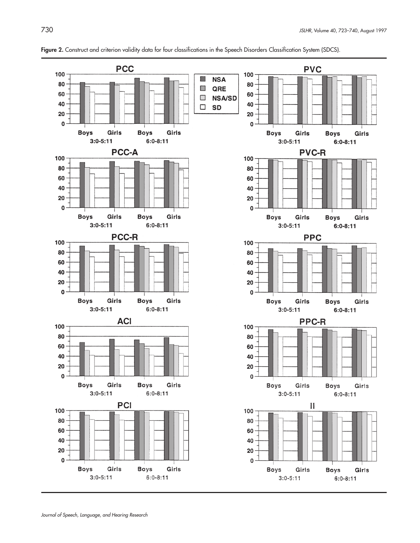

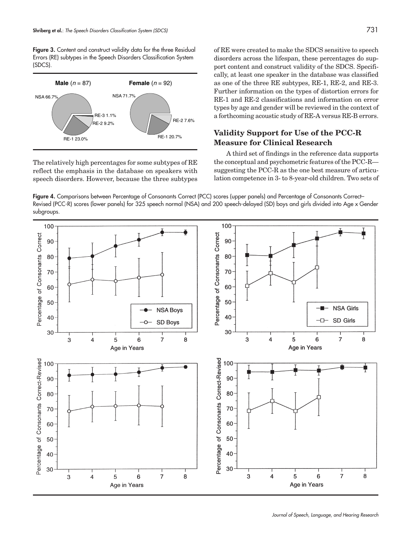Figure 3. Content and construct validity data for the three Residual Errors (RE) subtypes in the Speech Disorders Classification System (SDCS).



The relatively high percentages for some subtypes of RE reflect the emphasis in the database on speakers with speech disorders. However, because the three subtypes of RE were created to make the SDCS sensitive to speech disorders across the lifespan, these percentages do support content and construct validity of the SDCS. Specifically, at least one speaker in the database was classified as one of the three RE subtypes, RE-1, RE-2, and RE-3. Further information on the types of distortion errors for RE-1 and RE-2 classifications and information on error types by age and gender will be reviewed in the context of a forthcoming acoustic study of RE-A versus RE-B errors.

# **Validity Support for Use of the PCC-R Measure for Clinical Research**

A third set of findings in the reference data supports the conceptual and psychometric features of the PCC-R suggesting the PCC-R as the one best measure of articulation competence in 3- to 8-year-old children. Two sets of

**Figure 4.** Comparisons between Percentage of Consonants Correct (PCC) scores (upper panels) and Percentage of Consonants Correct– Revised (PCC-R) scores (lower panels) for 325 speech normal (NSA) and 200 speech-delayed (SD) boys and girls divided into Age x Gender subgroups.

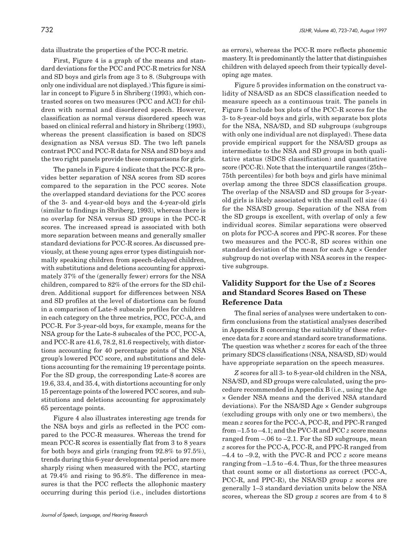data illustrate the properties of the PCC-R metric.

First, Figure 4 is a graph of the means and standard deviations for the PCC and PCC-R metrics for NSA and SD boys and girls from age 3 to 8. (Subgroups with only one individual are not displayed.) This figure is similar in concept to Figure 5 in Shriberg (1993), which contrasted scores on two measures (PCC and ACI) for children with normal and disordered speech. However, classification as normal versus disordered speech was based on clinical referral and history in Shriberg (1993), whereas the present classification is based on SDCS designation as NSA versus SD. The two left panels contrast PCC and PCC-R data for NSA and SD boys and the two right panels provide these comparisons for girls.

The panels in Figure 4 indicate that the PCC-R provides better separation of NSA scores from SD scores compared to the separation in the PCC scores. Note the overlapped standard deviations for the PCC scores of the 3- and 4-year-old boys and the 4-year-old girls (similar to findings in Shriberg, 1993), whereas there is no overlap for NSA versus SD groups in the PCC-R scores. The increased spread is associated with both more separation between means and generally smaller standard deviations for PCC-R scores. As discussed previously, at these young ages error types distinguish normally speaking children from speech-delayed children, with substitutions and deletions accounting for approximately 37% of the (generally fewer) errors for the NSA children, compared to 82% of the errors for the SD children. Additional support for differences between NSA and SD profiles at the level of distortions can be found in a comparison of Late-8 subscale profiles for children in each category on the three metrics, PCC, PCC-A, and PCC-R. For 3-year-old boys, for example, means for the NSA group for the Late-8 subscales of the PCC, PCC-A, and PCC-R are 41.6, 78.2, 81.6 respectively, with distortions accounting for 40 percentage points of the NSA group's lowered PCC score, and substitutions and deletions accounting for the remaining 19 percentage points. For the SD group, the corresponding Late-8 scores are 19.6, 33.4, and 35.4, with distortions accounting for only 15 percentage points of the lowered PCC scores, and substitutions and deletions accounting for approximately 65 percentage points.

Figure 4 also illustrates interesting age trends for the NSA boys and girls as reflected in the PCC compared to the PCC-R measures. Whereas the trend for mean PCC-R scores is essentially flat from 3 to 8 years for both boys and girls (ranging from 92.8% to 97.5%), trends during this 6-year developmental period are more sharply rising when measured with the PCC, starting at 79.4% and rising to 95.8%. The difference in measures is that the PCC reflects the allophonic mastery occurring during this period (i.e., includes distortions as errors), whereas the PCC-R more reflects phonemic mastery. It is predominantly the latter that distinguishes children with delayed speech from their typically developing age mates.

Figure 5 provides information on the construct validity of NSA/SD as an SDCS classification needed to measure speech as a continuous trait. The panels in Figure 5 include box plots of the PCC-R scores for the 3- to 8-year-old boys and girls, with separate box plots for the NSA, NSA/SD, and SD subgroups (subgroups with only one individual are not displayed). These data provide empirical support for the NSA/SD groups as intermediate to the NSA and SD groups in both qualitative status (SDCS classification) and quantitative score (PCC-R). Note that the interquartile ranges (25th– 75th percentiles) for both boys and girls have minimal overlap among the three SDCS classification groups. The overlap of the NSA/SD and SD groups for 3-yearold girls is likely associated with the small cell size (4) for the NSA/SD group. Separation of the NSA from the SD groups is excellent, with overlap of only a few individual scores. Similar separations were observed on plots for PCC-A scores and PPC-R scores. For these two measures and the PCC-R, SD scores within one standard deviation of the mean for each Age × Gender subgroup do not overlap with NSA scores in the respective subgroups.

# **Validity Support for the Use of** *z* **Scores and Standard Scores Based on These Reference Data**

The final series of analyses were undertaken to confirm conclusions from the statistical analyses described in Appendix B concerning the suitability of these reference data for *z* score and standard score transformations. The question was whether *z* scores for each of the three primary SDCS classifications (NSA, NSA/SD, SD) would have appropriate separation on the speech measures.

*Z* scores for all 3- to 8-year-old children in the NSA, NSA/SD, and SD groups were calculated, using the procedure recommended in Appendix B (i.e., using the Age × Gender NSA means and the derived NSA standard deviations). For the NSA/SD Age × Gender subgroups (excluding groups with only one or two members), the mean *z* scores for the PCC-A, PCC-R, and PPC-R ranged from –1.5 to –4.1; and the PVC-R and PCC *z* score means ranged from –.06 to –2.1. For the SD subgroups, mean *z* scores for the PCC-A, PCC-R, and PPC-R ranged from –4.4 to –9.2, with the PVC-R and PCC *z* score means ranging from –1.5 to –6.4. Thus, for the three measures that count some or all distortions as correct (PCC-A, PCC-R, and PPC-R), the NSA/SD group *z* scores are generally 1–3 standard deviation units below the NSA scores, whereas the SD group *z* scores are from 4 to 8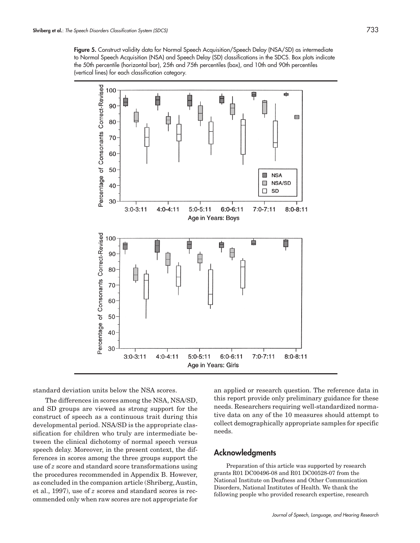**Figure 5.** Construct validity data for Normal Speech Acquisition/Speech Delay (NSA/SD) as intermediate to Normal Speech Acquisition (NSA) and Speech Delay (SD) classifications in the SDCS. Box plots indicate the 50th percentile (horizontal bar), 25th and 75th percentiles (box), and 10th and 90th percentiles (vertical lines) for each classification category.



standard deviation units below the NSA scores.

The differences in scores among the NSA, NSA/SD, and SD groups are viewed as strong support for the construct of speech as a continuous trait during this developmental period. NSA/SD is the appropriate classification for children who truly are intermediate between the clinical dichotomy of normal speech versus speech delay. Moreover, in the present context, the differences in scores among the three groups support the use of *z* score and standard score transformations using the procedures recommended in Appendix B. However, as concluded in the companion article (Shriberg, Austin, et al., 1997), use of *z* scores and standard scores is recommended only when raw scores are not appropriate for an applied or research question. The reference data in this report provide only preliminary guidance for these needs. Researchers requiring well-standardized normative data on any of the 10 measures should attempt to collect demographically appropriate samples for specific needs.

# **Acknowledgments**

Preparation of this article was supported by research grants R01 DC00496-08 and R01 DC00528-07 from the National Institute on Deafness and Other Communication Disorders, National Institutes of Health. We thank the following people who provided research expertise, research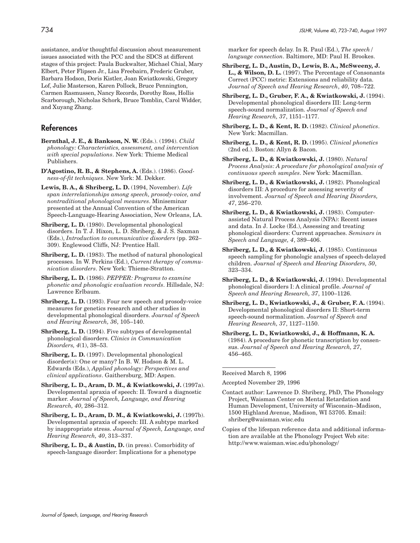assistance, and/or thoughtful discussion about measurement issues associated with the PCC and the SDCS at different stages of this project: Paula Buckwalter, Michael Chial, Mary Elbert, Peter Flipsen Jr., Lisa Freebairn, Frederic Gruber, Barbara Hodson, Doris Kistler, Joan Kwiatkowski, Gregory Lof, Julie Masterson, Karen Pollock, Bruce Pennington, Carmen Rasmussen, Nancy Records, Dorothy Ross, Hollis Scarborough, Nicholas Schork, Bruce Tomblin, Carol Widder, and Xuyang Zhang.

#### **References**

- **Bernthal, J. E., & Bankson, N. W.** (Eds.). (1994). *Child phonology: Characteristics, assessment, and intervention with special populations*. New York: Thieme Medical Publishers.
- **D'Agostino, R. B., & Stephens, A.** (Eds.). (1986). *Goodness-of-fit techniques*. New York: M. Dekker.
- **Lewis, B. A., & Shriberg, L. D.** (1994, November). *Life span interrelationships among speech, prosody-voice, and nontraditional phonological measures*. Miniseminar presented at the Annual Convention of the American Speech-Language-Hearing Association, New Orleans, LA.
- **Shriberg, L. D.** (1980). Developmental phonological disorders. In T. J. Hixon, L. D. Shriberg, & J. S. Saxman (Eds.), *Introduction to communicative disorders* (pp. 262– 309). Englewood Cliffs, NJ: Prentice Hall.
- **Shriberg, L. D.** (1983). The method of natural phonological processes. In W. Perkins (Ed.), *Current therapy of communication disorders*. New York: Thieme-Stratton.
- **Shriberg, L. D.** (1986). *PEPPER: Programs to examine phonetic and phonologic evaluation records*. Hillsdale, NJ: Lawrence Erlbaum.
- **Shriberg, L. D.** (1993). Four new speech and prosody-voice measures for genetics research and other studies in developmental phonological disorders. *Journal of Speech and Hearing Research, 36*, 105–140.
- **Shriberg, L. D.** (1994). Five subtypes of developmental phonological disorders. *Clinics in Communication Disorders, 4*(1), 38–53.
- **Shriberg, L. D.** (1997). Developmental phonological disorder(s): One or many? In B. W. Hodson & M. L. Edwards (Eds.), *Applied phonology: Perspectives and clinical applications*. Gaithersburg, MD: Aspen.
- **Shriberg, L. D., Aram, D. M., & Kwiatkowski, J.** (1997a). Developmental apraxia of speech: II. Toward a diagnostic marker. *Journal of Speech, Language, and Hearing Research, 40*, 286–312.
- **Shriberg, L. D., Aram, D. M., & Kwiatkowski, J.** (1997b). Developmental apraxia of speech: III. A subtype marked by inappropriate stress. *Journal of Speech, Language, and Hearing Research, 40*, 313–337.
- **Shriberg, L. D., & Austin, D.** (in press). Comorbidity of speech-language disorder: Implications for a phenotype

marker for speech delay. In R. Paul (Ed.), *The speech/ language connection*. Baltimore, MD: Paul H. Brookes.

- **Shriberg, L. D., Austin, D., Lewis, B. A., McSweeny, J. L., & Wilson, D. L.** (1997). The Percentage of Consonants Correct (PCC) metric: Extensions and reliability data. *Journal of Speech and Hearing Research*, *40*, 708–722.
- **Shriberg, L. D., Gruber, F. A., & Kwiatkowski, J.** (1994). Developmental phonological disorders III: Long-term speech-sound normalization. *Journal of Speech and Hearing Research, 37*, 1151–1177.
- **Shriberg, L. D., & Kent, R. D.** (1982). *Clinical phonetics*. New York: Macmillan.
- **Shriberg, L. D., & Kent, R. D.** (1995). *Clinical phonetics* (2nd ed.). Boston: Allyn & Bacon.
- **Shriberg, L. D., & Kwiatkowski, J.** (1980). *Natural Process Analysis: A procedure for phonological analysis of continuous speech samples*. New York: Macmillan.
- **Shriberg, L. D., & Kwiatkowski, J.** (1982). Phonological disorders III: A procedure for assessing severity of involvement. *Journal of Speech and Hearing Disorders, 47*, 256–270.
- **Shriberg, L. D., & Kwiatkowski, J.** (1983). Computerassisted Natural Process Analysis (NPA): Recent issues and data. In J. Locke (Ed.), Assessing and treating phonological disorders: Current approaches. *Seminars in Speech and Language, 4*, 389–406.
- **Shriberg, L. D., & Kwiatkowski, J.** (1985). Continuous speech sampling for phonologic analyses of speech-delayed children. *Journal of Speech and Hearing Disorders, 50*, 323–334.
- **Shriberg, L. D., & Kwiatkowski, J.** (1994). Developmental phonological disorders I: A clinical profile. *Journal of Speech and Hearing Research, 37*, 1100–1126.
- **Shriberg, L. D., Kwiatkowski, J., & Gruber, F. A.** (1994). Developmental phonological disorders II: Short-term speech-sound normalization. *Journal of Speech and Hearing Research, 37*, 1127–1150.
- **Shriberg, L. D., Kwiatkowski, J., & Hoffmann, K. A.** (1984). A procedure for phonetic transcription by consensus. *Journal of Speech and Hearing Research, 27*, 456–465.

Received March 8, 1996

```
Accepted November 29, 1996
```
- Contact author: Lawrence D. Shriberg, PhD, The Phonology Project, Waisman Center on Mental Retardation and Human Development, University of Wisconsin–Madison, 1500 Highland Avenue, Madison, WI 53705. Email: shriberg@waisman.wisc.edu
- Copies of the lifespan reference data and additional information are available at the Phonology Project Web site: http://www.waisman.wisc.edu/phonology/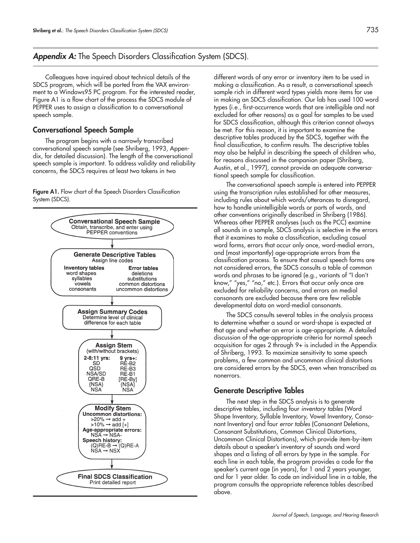# **Appendix A:** The Speech Disorders Classification System (SDCS).

Colleagues have inquired about technical details of the SDCS program, which will be ported from the VAX environment to a Windows95 PC program. For the interested reader, Figure A1 is a flow chart of the process the SDCS module of PEPPER uses to assign a classification to a conversational speech sample.

#### **Conversational Speech Sample**

The program begins with a narrowly transcribed conversational speech sample (see Shriberg, 1993, Appendix, for detailed discussion). The length of the conversational speech sample is important. To address validity and reliability concerns, the SDCS requires at least two tokens in two

**Figure A1.** Flow chart of the Speech Disorders Classification System (SDCS).



different words of any error or inventory item to be used in making a classification. As a result, a conversational speech sample rich in different word types yields more items for use in making an SDCS classification. Our lab has used 100 word types (i.e., first-occurrence words that are intelligible and not excluded for other reasons) as a goal for samples to be used for SDCS classification, although this criterion cannot always be met. For this reason, it is important to examine the descriptive tables produced by the SDCS, together with the final classification, to confirm results. The descriptive tables may also be helpful in describing the speech of children who, for reasons discussed in the companion paper (Shriberg, Austin, et al., 1997), cannot provide an adequate conversational speech sample for classification.

The conversational speech sample is entered into PEPPER using the transcription rules established for other measures, including rules about which words/utterances to disregard, how to handle unintelligible words or parts of words, and other conventions originally described in Shriberg (1986). Whereas other PEPPER analyses (such as the PCC) examine all sounds in a sample, SDCS analysis is selective in the errors that it examines to make a classification, excluding casual word forms, errors that occur only once, word-medial errors, and (most importantly) age-appropriate errors from the classification process. To ensure that casual speech forms are not considered errors, the SDCS consults a table of common words and phrases to be ignored (e.g., variants of "I don't know," "yes," "no," etc.). Errors that occur only once are excluded for reliability concerns, and errors on medial consonants are excluded because there are few reliable developmental data on word-medial consonants.

The SDCS consults several tables in the analysis process to determine whether a sound or word-shape is expected at that age and whether an error is age-appropriate. A detailed discussion of the age-appropriate criteria for normal speech acquisition for ages 2 through 9+ is included in the Appendix of Shriberg, 1993. To maximize sensitivity to some speech problems, a few common and uncommon clinical distortions are considered errors by the SDCS, even when transcribed as nonerrors.

#### **Generate Descriptive Tables**

The next step in the SDCS analysis is to generate descriptive tables, including four inventory tables (Word Shape Inventory, Syllable Inventory, Vowel Inventory, Consonant Inventory) and four error tables (Consonant Deletions, Consonant Substitutions, Common Clinical Distortions, Uncommon Clinical Distortions), which provide item-by-item details about a speaker's inventory of sounds and word shapes and a listing of all errors by type in the sample. For each line in each table, the program provides a code for the speaker's current age (in years), for 1 and 2 years younger, and for 1 year older. To code an individual line in a table, the program consults the appropriate reference tables described above.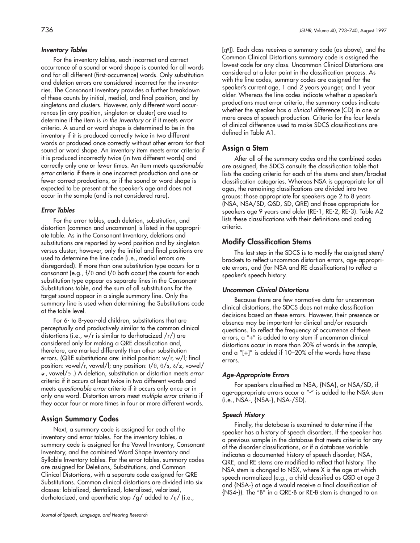#### **Inventory Tables**

For the inventory tables, each incorrect and correct occurrence of a sound or word shape is counted for all words and for all different (first-occurrence) words. Only substitution and deletion errors are considered incorrect for the inventories. The Consonant Inventory provides a further breakdown of these counts by initial, medial, and final position, and by singletons and clusters. However, only different word occurrences (in any position, singleton or cluster) are used to determine if the item is in the inventory or if it meets error criteria. A sound or word shape is determined to be in the inventory if it is produced correctly twice in two different words or produced once correctly without other errors for that sound or word shape. An inventory item meets error criteria if it is produced incorrectly twice (in two different words) and correctly only one or fewer times. An item meets questionable error criteria if there is one incorrect production and one or fewer correct productions, or if the sound or word shape is expected to be present at the speaker's age and does not occur in the sample (and is not considered rare).

#### **Error Tables**

For the error tables, each deletion, substitution, and distortion (common and uncommon) is listed in the appropriate table. As in the Consonant Inventory, deletions and substitutions are reported by word position and by singleton versus cluster; however, only the initial and final positions are used to determine the line code (i.e., medial errors are disregarded). If more than one substitution type occurs for a consonant (e.g.,  $f/\theta$  and  $f/\theta$  both occur) the counts for each substitution type appear as separate lines in the Consonant Substitutions table, and the sum of all substitutions for the target sound appear in a single summary line. Only the summary line is used when determining the Substitutions code at the table level.

For 6- to 8-year-old children, substitutions that are perceptually and productively similar to the common clinical distortions (i.e., w/r is similar to derhotacized /r/) are considered only for making a QRE classification and, therefore, are marked differently than other substitution errors. (QRE substitutions are: initial position: w/r, w/l; final position: vowel/r, vowel/l; any position:  $t/\theta$ ,  $\theta$ /s,  $\delta$ /z, vowel/ ´±, vowel/∏±.) A deletion, substitution or distortion meets error criteria if it occurs at least twice in two different words and meets questionable error criteria if it occurs only once or in only one word. Distortion errors meet multiple error criteria if they occur four or more times in four or more different words.

# **Assign Summary Codes**

Next, a summary code is assigned for each of the inventory and error tables. For the inventory tables, a summary code is assigned for the Vowel Inventory, Consonant Inventory, and the combined Word Shape Inventory and Syllable Inventory tables. For the error tables, summary codes are assigned for Deletions, Substitutions, and Common Clinical Distortions, with a separate code assigned for QRE Substitutions. Common clinical distortions are divided into six classes: labialized, dentalized, lateralized, velarized, derhotacized, and epenthetic stop /g/ added to /ŋ/ (i.e.,

[ŋʲ]). Each class receives a summary code (as above), and the Common Clinical Distortions summary code is assigned the lowest code for any class. Uncommon Clinical Distortions are considered at a later point in the classification process. As with the line codes, summary codes are assigned for the speaker's current age, 1 and 2 years younger, and 1 year older. Whereas the line codes indicate whether a speaker's productions meet error criteria, the summary codes indicate whether the speaker has a clinical difference (CD) in one or more areas of speech production. Criteria for the four levels of clinical difference used to make SDCS classifications are defined in Table A1.

#### **Assign a Stem**

After all of the summary codes and the combined codes are assigned, the SDCS consults the classification table that lists the coding criteria for each of the stems and stem/bracket classification categories. Whereas NSA is appropriate for all ages, the remaining classifications are divided into two groups: those appropriate for speakers age 2 to 8 years (NSA, NSA/SD, QSD, SD, QRE) and those appropriate for speakers age 9 years and older (RE-1, RE-2, RE-3). Table A2 lists these classifications with their definitions and coding criteria.

### **Modify Classification Stems**

The last step in the SDCS is to modify the assigned stem/ brackets to reflect uncommon distortion errors, age-appropriate errors, and (for NSA and RE classifications) to reflect a speaker's speech history.

#### **Uncommon Clinical Distortions**

Because there are few normative data for uncommon clinical distortions, the SDCS does not make classification decisions based on these errors. However, their presence or absence may be important for clinical and/or research questions. To reflect the frequency of occurrence of these errors, a "+" is added to any stem if uncommon clinical distortions occur in more than 20% of words in the sample, and a "[+]" is added if 10–20% of the words have these errors.

#### **Age-Appropriate Errors**

For speakers classified as NSA, {NSA}, or NSA/SD, if age-appropriate errors occur a "-" is added to the NSA stem (i.e., NSA-, {NSA-}, NSA-/SD).

#### **Speech History**

Finally, the database is examined to determine if the speaker has a history of speech disorders. If the speaker has a previous sample in the database that meets criteria for any of the disorder classifications, or if a database variable indicates a documented history of speech disorder, NSA, QRE, and RE stems are modified to reflect that history. The NSA stem is changed to NSX, where X is the age at which speech normalized (e.g., a child classified as QSD at age 3 and {NSA-} at age 4 would receive a final classification of {NS4-}). The "B" in a QRE-B or RE-B stem is changed to an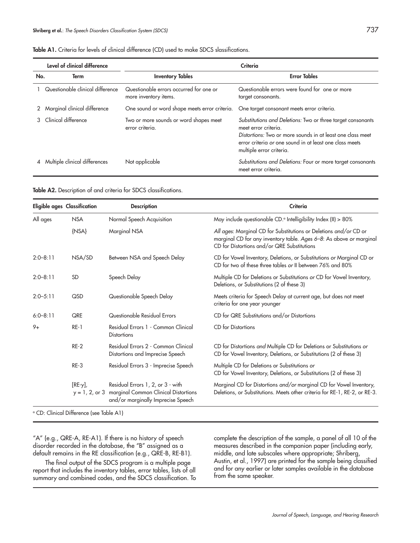|     | Level of clinical difference     |                                                                  | Criteria                                                                                                                                                                                                                                 |
|-----|----------------------------------|------------------------------------------------------------------|------------------------------------------------------------------------------------------------------------------------------------------------------------------------------------------------------------------------------------------|
| No. | Term                             | <b>Inventory Tables</b>                                          | <b>Error Tables</b>                                                                                                                                                                                                                      |
|     | Questionable clinical difference | Questionable errors occurred for one or<br>more inventory items. | Questionable errors were found for one or more<br>target consonants.                                                                                                                                                                     |
| 2   | Marginal clinical difference     | One sound or word shape meets error criteria.                    | One target consonant meets error criteria.                                                                                                                                                                                               |
|     | Clinical difference              | Two or more sounds or word shapes meet<br>error criteria.        | Substitutions and Deletions: Two or three target consonants<br>meet error criteria.<br>Distortions: Two or more sounds in at least one class meet<br>error criteria or one sound in at least one class meets<br>multiple error criteria. |
|     | Multiple clinical differences    | Not applicable                                                   | Substitutions and Deletions: Four or more target consonants<br>meet error criteria.                                                                                                                                                      |

|  |  | Table A1. Criteria for levels of clinical difference (CD) used to make SDCS slassifications. |  |  |  |  |  |  |  |  |  |  |  |  |  |  |  |
|--|--|----------------------------------------------------------------------------------------------|--|--|--|--|--|--|--|--|--|--|--|--|--|--|--|
|--|--|----------------------------------------------------------------------------------------------|--|--|--|--|--|--|--|--|--|--|--|--|--|--|--|

| <b>Table A2.</b> Description of and criteria for SDCS classifications. |  |  |  |
|------------------------------------------------------------------------|--|--|--|
|------------------------------------------------------------------------|--|--|--|

|              | <b>Eligible ages Classification</b> | <b>Description</b>                                                                                              | Criteria                                                                                                                                                                                |
|--------------|-------------------------------------|-----------------------------------------------------------------------------------------------------------------|-----------------------------------------------------------------------------------------------------------------------------------------------------------------------------------------|
| All ages     | <b>NSA</b>                          | Normal Speech Acquisition                                                                                       | May include questionable CD. <sup>a</sup> Intelligibility Index (II) > 80%                                                                                                              |
|              | $\{NSA\}$                           | Marginal NSA                                                                                                    | All ages: Marginal CD for Substitutions or Deletions and/or CD or<br>marginal CD for any inventory table. Ages 6-8: As above or marginal<br>CD for Distortions and/or QRE Substitutions |
| $2:0 - 8:11$ | NSA/SD                              | Between NSA and Speech Delay                                                                                    | CD for Vowel Inventory, Deletions, or Substitutions or Marginal CD or<br>CD for two of these three tables or II between 76% and 80%                                                     |
| $2:0-8:11$   | <b>SD</b>                           | Speech Delay                                                                                                    | Multiple CD for Deletions or Substitutions or CD for Vowel Inventory,<br>Deletions, or Substitutions (2 of these 3)                                                                     |
| $2:0-5:11$   | QSD                                 | Questionable Speech Delay                                                                                       | Meets criteria for Speech Delay at current age, but does not meet<br>criteria for one year younger                                                                                      |
| $6:0 - 8:11$ | QRE                                 | Questionable Residual Errors                                                                                    | CD for QRE Substitutions and/or Distortions                                                                                                                                             |
| $9+$         | $RF-1$                              | Residual Errors 1 - Common Clinical<br><b>Distortions</b>                                                       | CD for Distortions                                                                                                                                                                      |
|              | $RE-2$                              | Residual Errors 2 - Common Clinical<br>Distortions and Imprecise Speech                                         | CD for Distortions and Multiple CD for Deletions or Substitutions or<br>CD for Vowel Inventory, Deletions, or Substitutions (2 of these 3)                                              |
|              | $RE-3$                              | Residual Errors 3 - Imprecise Speech                                                                            | Multiple CD for Deletions or Substitutions or<br>CD for Vowel Inventory, Deletions, or Substitutions (2 of these 3)                                                                     |
|              | $[RE-y]$ ,<br>$y = 1, 2, or 3$      | Residual Errors 1, 2, or 3 - with<br>marginal Common Clinical Distortions<br>and/or marginally Imprecise Speech | Marginal CD for Distortions and/or marginal CD for Vowel Inventory,<br>Deletions, or Substitutions. Meets other criteria for RE-1, RE-2, or RE-3.                                       |

a CD: Clinical Difference (see Table A1)

"A" (e.g., QRE-A, RE-A1). If there is no history of speech disorder recorded in the database, the "B" assigned as a default remains in the RE classification (e.g., QRE-B, RE-B1).

The final output of the SDCS program is a multiple page report that includes the inventory tables, error tables, lists of all summary and combined codes, and the SDCS classification. To complete the description of the sample, a panel of all 10 of the measures described in the companion paper (including early, middle, and late subscales where appropriate; Shriberg, Austin, et al., 1997) are printed for the sample being classified and for any earlier or later samples available in the database from the same speaker.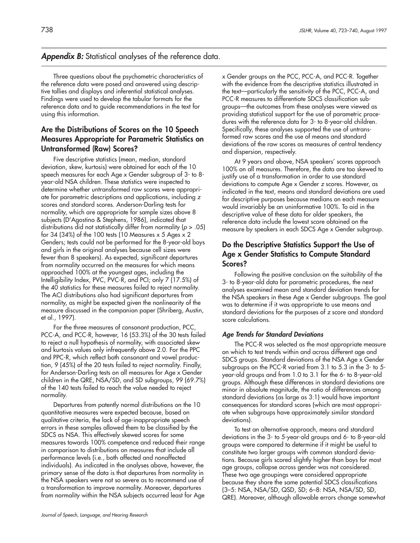# **Appendix B:** Statistical analyses of the reference data.

Three questions about the psychometric characteristics of the reference data were posed and answered using descriptive tallies and displays and inferential statistical analyses. Findings were used to develop the tabular formats for the reference data and to guide recommendations in the text for using this information.

# **Are the Distributions of Scores on the 10 Speech Measures Appropriate for Parametric Statistics on Untransformed (Raw) Scores?**

Five descriptive statistics (mean, median, standard deviation, skew, kurtosis) were obtained for each of the 10 speech measures for each Age x Gender subgroup of 3- to 8 year-old NSA children. These statistics were inspected to determine whether untransformed raw scores were appropriate for parametric descriptions and applications, including <sup>z</sup> scores and standard scores. Anderson-Darling tests for normality, which are appropriate for sample sizes above 8 subjects (D'Agostino & Stephens, 1986), indicated that distributions did not statistically differ from normality ( $p > .05$ ) for 34 (34%) of the 100 tests (10 Measures  $\times$  5 Ages  $\times$  2 Genders; tests could not be performed for the 8-year-old boys and girls in the original analyses because cell sizes were fewer than 8 speakers). As expected, significant departures from normality occurred on the measures for which means approached 100% at the youngest ages, including the Intelligibility Index, PVC, PVC-R, and PCI; only 7 (17.5%) of the 40 statistics for these measures failed to reject normality. The ACI distributions also had significant departures from normality, as might be expected given the nonlinearity of the measure discussed in the companion paper (Shriberg, Austin, et al., 1997).

For the three measures of consonant production, PCC, PCC-A, and PCC-R, however, 16 (53.3%) of the 30 tests failed to reject a null hypothesis of normality, with associated skew and kurtosis values only infrequently above 2.0. For the PPC and PPC-R, which reflect both consonant and vowel production, 9 (45%) of the 20 tests failed to reject normality. Finally, for Anderson-Darling tests on all measures for Age x Gender children in the QRE, NSA/SD, and SD subgroups, 99 (69.7%) of the 140 tests failed to reach the value needed to reject normality.

Departures from patently normal distributions on the 10 quantitative measures were expected because, based on qualitative criteria, the lack of age-inappropriate speech errors in these samples allowed them to be classified by the SDCS as NSA. This effectively skewed scores for some measures towards 100% competence and reduced their range in comparison to distributions on measures that include all performance levels (i.e., both affected and nonaffected individuals). As indicated in the analyses above, however, the primary sense of the data is that departures from normality in the NSA speakers were not so severe as to recommend use of a transformation to improve normality. Moreover, departures from normality within the NSA subjects occurred least for Age

x Gender groups on the PCC, PCC-A, and PCC-R. Together with the evidence from the descriptive statistics illustrated in the text—particularly the sensitivity of the PCC, PCC-A, and PCC-R measures to differentiate SDCS classification subgroups—the outcomes from these analyses were viewed as providing statistical support for the use of parametric procedures with the reference data for 3- to 8-year-old children. Specifically, these analyses supported the use of untransformed raw scores and the use of means and standard deviations of the raw scores as measures of central tendency and dispersion, respectively.

At 9 years and above, NSA speakers' scores approach 100% on all measures. Therefore, the data are too skewed to justify use of a transformation in order to use standard deviations to compute Age x Gender z scores. However, as indicated in the text, means and standard deviations are used for descriptive purposes because medians on each measure would invariably be an uninformative 100%. To aid in the descriptive value of these data for older speakers, the reference data include the lowest score obtained on the measure by speakers in each SDCS Age x Gender subgroup.

# **Do the Descriptive Statistics Support the Use of Age x Gender Statistics to Compute Standard Scores?**

Following the positive conclusion on the suitability of the 3- to 8-year-old data for parametric procedures, the next analyses examined mean and standard deviation trends for the NSA speakers in these Age x Gender subgroups. The goal was to determine if it was appropriate to use means and standard deviations for the purposes of z score and standard score calculations.

#### **Age Trends for Standard Deviations**

The PCC-R was selected as the most appropriate measure on which to test trends within and across different age and SDCS groups. Standard deviations of the NSA Age x Gender subgroups on the PCC-R varied from 3.1 to 5.3 in the 3- to 5 year-old groups and from 1.0 to 3.1 for the 6- to 8-year-old groups. Although these differences in standard deviations are minor in absolute magnitude, the ratio of differences among standard deviations (as large as 3:1) would have important consequences for standard scores (which are most appropriate when subgroups have approximately similar standard deviations).

To test an alternative approach, means and standard deviations in the 3- to 5-year-old groups and 6- to 8-year-old groups were compared to determine if it might be useful to constitute two larger groups with common standard deviations. Because girls scored slightly higher than boys for most age groups, collapse across gender was not considered. These two age groupings were considered appropriate because they share the same potential SDCS classifications (3–5: NSA, NSA/SD, QSD, SD; 6–8: NSA, NSA/SD, SD, QRE). Moreover, although allowable errors change somewhat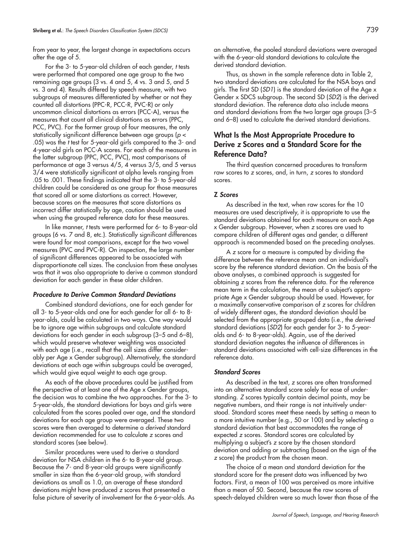from year to year, the largest change in expectations occurs after the age of 5.

For the 3- to 5-year-old children of each gender, t tests were performed that compared one age group to the two remaining age groups (3 vs. 4 and 5, 4 vs. 3 and 5, and 5 vs. 3 and 4). Results differed by speech measure, with two subgroups of measures differentiated by whether or not they counted all distortions (PPC-R, PCC-R, PVC-R) or only uncommon clinical distortions as errors (PCC-A), versus the measures that count all clinical distortions as errors (PPC, PCC, PVC). For the former group of four measures, the only statistically significant difference between age groups (p < .05) was the t test for 5-year-old girls compared to the 3- and 4-year-old girls on PCC-A scores. For each of the measures in the latter subgroup (PPC, PCC, PVC), most comparisons of performance at age 3 versus 4/5, 4 versus 3/5, and 5 versus 3/4 were statistically significant at alpha levels ranging from .05 to .001. These findings indicated that the 3- to 5-year-old children could be considered as one group for those measures that scored all or some distortions as correct. However, because scores on the measures that score distortions as incorrect differ statistically by age, caution should be used when using the grouped reference data for these measures.

In like manner, t tests were performed for 6- to 8-year-old groups (6 vs. 7 and 8, etc.). Statistically significant differences were found for most comparisons, except for the two vowel measures (PVC and PVC-R). On inspection, the large number of significant differences appeared to be associated with disproportionate cell sizes. The conclusion from these analyses was that it was also appropriate to derive a common standard deviation for each gender in these older children.

#### **Procedure to Derive Common Standard Deviations**

Combined standard deviations, one for each gender for all 3- to 5-year-olds and one for each gender for all 6- to 8 year-olds, could be calculated in two ways. One way would be to ignore age within subgroups and calculate standard deviations for each gender in each subgroup (3–5 and 6–8), which would preserve whatever weighting was associated with each age (i.e., recall that the cell sizes differ considerably per Age x Gender subgroup). Alternatively, the standard deviations at each age within subgroups could be averaged, which would give equal weight to each age group.

As each of the above procedures could be justified from the perspective of at least one of the Age x Gender groups, the decision was to combine the two approaches. For the 3- to 5-year-olds, the standard deviations for boys and girls were calculated from the scores pooled over age, and the standard deviations for each age group were averaged. These two scores were then averaged to determine a derived standard deviation recommended for use to calculate z scores and standard scores (see below).

Similar procedures were used to derive a standard deviation for NSA children in the 6- to 8-year-old group. Because the 7- and 8-year-old groups were significantly smaller in size than the 6-year-old group, with standard deviations as small as 1.0, an average of these standard deviations might have produced z scores that presented a false picture of severity of involvement for the 6-year-olds. As an alternative, the pooled standard deviations were averaged with the 6-year-old standard deviations to calculate the derived standard deviation.

Thus, as shown in the sample reference data in Table 2, two standard deviations are calculated for the NSA boys and girls. The first SD (SD1) is the standard deviation of the Age x Gender x SDCS subgroup. The second SD (SD2) is the derived standard deviation. The reference data also include means and standard deviations from the two larger age groups (3–5 and 6–8) used to calculate the derived standard deviations.

# **What Is the Most Appropriate Procedure to Derive z Scores and a Standard Score for the Reference Data?**

The third question concerned procedures to transform raw scores to z scores, and, in turn, z scores to standard scores.

#### **Z Scores**

As described in the text, when raw scores for the 10 measures are used descriptively, it is appropriate to use the standard deviations obtained for each measure on each Age x Gender subgroup. However, when z scores are used to compare children of different ages and gender, a different approach is recommended based on the preceding analyses.

A z score for a measure is computed by dividing the difference between the reference mean and an individual's score by the reference standard deviation. On the basis of the above analyses, a combined approach is suggested for obtaining z scores from the reference data. For the reference mean term in the calculation, the mean of a subject's appropriate Age x Gender subgroup should be used. However, for a maximally conservative comparison of z scores for children of widely different ages, the standard deviation should be selected from the appropriate grouped data (i.e., the derived standard deviations (SD2) for each gender for 3- to 5-yearolds and 6- to 8-year-olds). Again, use of the derived standard deviation negates the influence of differences in standard deviations associated with cell-size differences in the reference data.

#### **Standard Scores**

As described in the text, z scores are often transformed into an alternative standard score solely for ease of understanding. Z scores typically contain decimal points, may be negative numbers, and their range is not intuitively understood. Standard scores meet these needs by setting a mean to a more intuitive number (e.g., 50 or 100) and by selecting a standard deviation that best accommodates the range of expected z scores. Standard scores are calculated by multiplying a subject's z score by the chosen standard deviation and adding or subtracting (based on the sign of the <sup>z</sup> score) the product from the chosen mean.

The choice of a mean and standard deviation for the standard score for the present data was influenced by two factors. First, a mean of 100 was perceived as more intuitive than a mean of 50. Second, because the raw scores of speech-delayed children were so much lower than those of the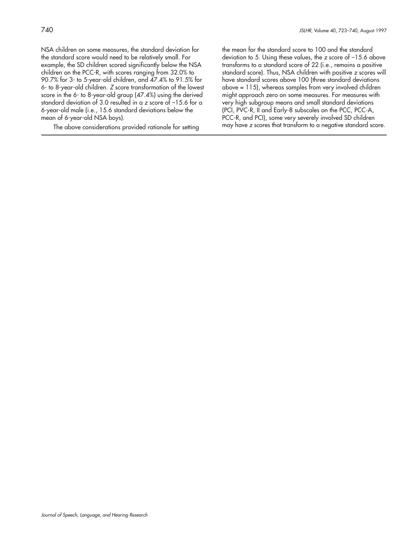NSA children on some measures, the standard deviation for the standard score would need to be relatively small. For example, the SD children scored significantly below the NSA children on the PCC-R, with scores ranging from 32.0% to 90.7% for 3- to 5-year-old children, and 47.4% to 91.5% for 6- to 8-year-old children. Z score transformation of the lowest score in the 6- to 8-year-old group (47.4%) using the derived standard deviation of 3.0 resulted in a z score of –15.6 for a 6-year-old male (i.e., 15.6 standard deviations below the mean of 6-year-old NSA boys).

The above considerations provided rationale for setting

the mean for the standard score to 100 and the standard deviation to 5. Using these values, the z score of –15.6 above transforms to a standard score of 22 (i.e., remains a positive standard score). Thus, NSA children with positive z scores will have standard scores above 100 (three standard deviations above = 115), whereas samples from very involved children might approach zero on some measures. For measures with very high subgroup means and small standard deviations (PCI, PVC-R, II and Early-8 subscales on the PCC, PCC-A, PCC-R, and PCI), some very severely involved SD children may have z scores that transform to a negative standard score.